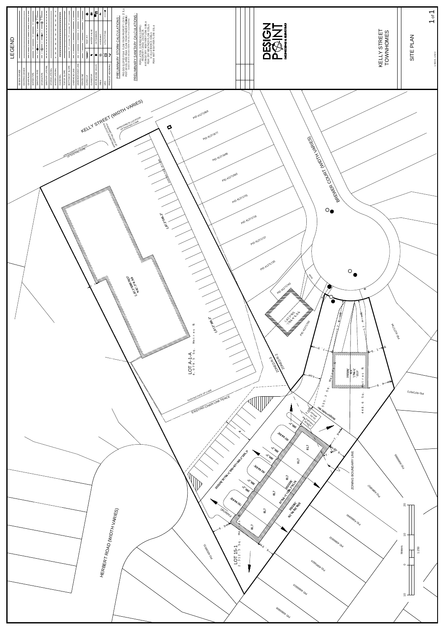

P.O. Box 1749 Halifax, Nova Scotia B3J 3A5 Canada

# **Item No. 16.1 Halifax and West Community Council May 15, 2018**

| TO:                  | Chair and Members of Halifax and West Community Council                                                               |
|----------------------|-----------------------------------------------------------------------------------------------------------------------|
| <b>SUBMITTED BY:</b> | <b>ORIGINAL SIGNED</b>                                                                                                |
|                      | Kelly Denty, Acting Director, Planning and Development                                                                |
|                      | <b>ORIGINAL SIGNED</b>                                                                                                |
|                      | Jacques Dubé, Chief Administrative Officer                                                                            |
| DATE:                | April 9, 2018                                                                                                         |
| SUBJECT:             | Case 20151: Amendments to the Halifax MPS and associated development<br>agreement for 31 and 33 Brewer Court, Halifax |

# **ORIGIN**

- Application by Banc Properties Limited
- On March 21, 2017, Regional Council passed the following motions to initiate the MPS amendment process:

THAT Halifax Regional Council:

- 1. Initiate the process to consider amendments to the Halifax Municipal Planning Strategy to alter the boundaries of the land use designations on the Generalized Future Land Use Map in the area of Brewer Court and the Stoneridge on the Park Subdivision, Halifax; and
- 2. Follow the public participation program for Municipal Planning Strategy amendments as approved by Regional Council on February 27, 1997.

# **LEGISLATIVE AUTHORITY**

*Halifax Regional Municipality Charter (HRM Charter)*, Part VIII, Planning & Development

#### **RECOMMENDATION**

**It is recommended that Halifax and West Community Council recommend that Regional Council:**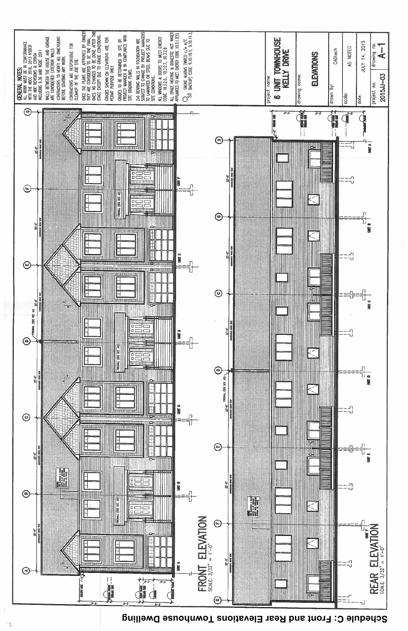- 1. Give First Reading to consider the proposed amendments to the Halifax Municipal Planning Strategy (MPS) as set out in Attachment A of this report, to align the Mainland South Generalize Future Land Use Map (GFLUM) boundary with the property boundary and to extend the existing designations to said boundary at lands off Brewer Court, Halifax, and schedule a joint public hearing; and
- 2. Approve the proposed amendments to the Halifax Municipal Planning Strategy, as set out in Attachment A of this report.

#### **It is further recommended that Halifax and West Community Council:**

3. Give Notice of Motion to consider the proposed development agreement, as set out in Attachment B of this report, to permit a 6-unit townhouse and a semidetached dwelling at lands off Brewer Court, Halifax. The public hearing for the development agreement shall be held concurrently with that indicated in Recommendation 1.

**Contingent upon the amendment to the Halifax Municipal Planning Strategy being approved by Regional Council and becoming effective pursuant to the requirements of the** *Halifax Regional Municipality Charter***, it is further recommended that Halifax and West Community Council:**

- 4. Approve the proposed development agreement to permit a 6-unit townhouse and a semidetached dwelling at lands off Brewer Court, which shall be substantially of the same form as contained in Attachment B of this report;
- 5. Require the agreement be signed by the property owner within 120 days or any extension thereof granted by Council on request of the property owner, from the date of final approval by Council and any other bodies as necessary, including applicable appeal periods, whichever is later, otherwise this approval will be void and obligations arising hereunder shall be at an end.

#### **BACKGROUND**

Banc Properties Limited has applied to enter into a development agreement to permit a 6-unit townhouse and a semi-detached dwelling on two existing lots off Brewer Court in Halifax. This proposal may be considered under existing MPS policies for a portion of the site. However, the Mainland South Generalized Future Land Use Map (GFLUM) boundary applies three different designations to portions of these properties and only one of the three allows the proposal to be considered through the development agreement process. Therefore, amendments to the Halifax Mainland plan are required to enable the proposal.

| <b>Subject Site</b>               | Composed of two lots: 31 and 33 Brewer Court.                               |
|-----------------------------------|-----------------------------------------------------------------------------|
| Location                          | Located within the Kelly Street Subdivision in Halifax. The subject site    |
|                                   | has public road frontage on Brewer Court and is surrounded by Walter        |
|                                   | Havill Drive, Ridgestone Court, Herbert Road and Osborne Street.            |
| <b>Regional Plan Designation</b>  | The subject site is designated Urban Settlement (US) under the              |
|                                   | Regional MPS.                                                               |
| <b>Community Plan Designation</b> | The subject properties lie within the Halifax Municipal Planning            |
| (Map 1)                           | Strategy (MPS). However, three different designations exist within the      |
|                                   | subject site:                                                               |
|                                   | The northeast portion of the property falls within the Halifax              |
|                                   | Mainland South Secondary Plan Area, and is designated                       |
|                                   | Medium Density Residential (MDR);                                           |
|                                   | The lands directly abutting Brewer Court also falls within the<br>$\bullet$ |
|                                   | Halifax Mainland South Secondary Plan Area, and is                          |
|                                   | designated Low Density Residential (LDR);                                   |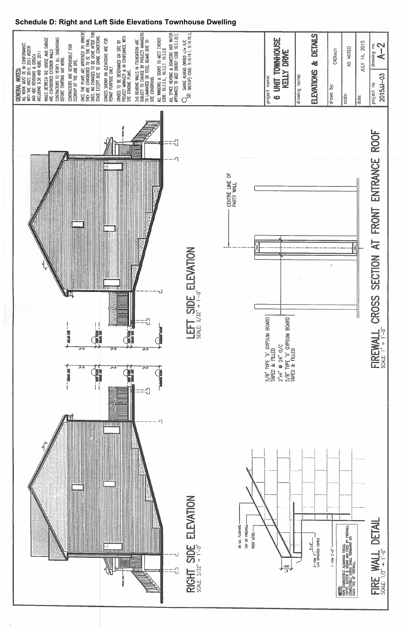|                            | The southwest portion of the site is designated Residential<br>$\bullet$<br>Development District (RDD).                                                                                                                                                                                                                                                                                                                                                                                                                                                                             |
|----------------------------|-------------------------------------------------------------------------------------------------------------------------------------------------------------------------------------------------------------------------------------------------------------------------------------------------------------------------------------------------------------------------------------------------------------------------------------------------------------------------------------------------------------------------------------------------------------------------------------|
| Zoning (Map 2)             | The portion directly fronting on Brewer Court is zoned R-2 (Two Family<br>Dwelling), while the remainder of the site is zoned R-3 (Low Rise<br>Apartment). The entire subject site falls under the Halifax Mainland<br>Land Use By-law (LUB).                                                                                                                                                                                                                                                                                                                                       |
| <b>Size of Site</b>        | 2,638 square metres (28,395 sq. ft.)                                                                                                                                                                                                                                                                                                                                                                                                                                                                                                                                                |
| <b>Street Frontage</b>     | The subject site has approximately 31 metres (102 ft.) of frontage on<br>Brewer Court.                                                                                                                                                                                                                                                                                                                                                                                                                                                                                              |
| <b>Current Land Use(s)</b> | The site is vacant, and is encumbered by Nova Scotia Power and<br>Halifax Water easements.                                                                                                                                                                                                                                                                                                                                                                                                                                                                                          |
| <b>Surrounding Use(s)</b>  | The subject site is surrounded by predominantly residential uses:<br>To the north is Herbert Road developed with semi-detached<br>٠<br>units:<br>To the northeast is a 3-storey apartment building accessed off<br>Kelly Street;<br>To the immediate east is Brewer Court, a cul-de-sac of semi-<br>$\bullet$<br>detached dwelling units;<br>To the south and southeast lies Ridgestone Court, developed<br>$\bullet$<br>with small lot single detached dwelling units, and a portion of<br>Walter Havill Drive that is developed both sides with semi-<br>detached dwelling units. |

#### **Proposal Details**

The applicant proposes to re-align the existing GFLUM boundaries located at 31 and 33 Brewer Court to align with the property boundaries and extend the MDR and LDR designations to the edge of the RDD boundary. A development agreement would then be applied to the property in accordance with applicable MDR policies. The major aspects of the proposal are as follows:

- Shift the GFLUM boundary to align with property boundaries between the subject site and the Stoneridge on the Park subdivision;
- Apply the MDR designation to the northeast portion of the site to enable the proposed townhouses;
- Apply a development agreement to the property to permit a 6-unit townhouse and a semi-detached unit on the two existing lots; and
- Create access to the development from Brewer Court over a private driveway.

## **MPS and LUB Context**

The MPS designation boundaries were established prior to the creation of the lot fabric in this area and they do not align with the current property boundaries (see Schedule A).

The front portion of the site at 31 Brewer Court is designated Low Density Residential (LDR) while the rear is designated Medium Density Residential (MDR).

The front portion of the site at 33 Brewer Court is designated LDR, the rear has a small portion within the MDR designation, and the balance is designated RDD. The RDD designation was established to allow the development to the southwest on Ridgestone Court, Walter Havill Drive and beyond.

The proposal would:

- re-designate the rear portion of 33 Brewer Court from RDD to MDR to allow the proposed townhouses; and,
- re-designate the balance of 33 Brewer Court from RDD to LDR to align with the proposed semidetached dwelling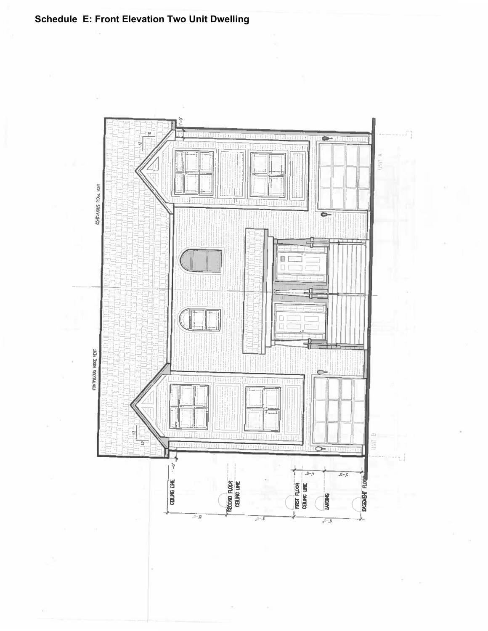## **Approval Process**

The approval process for this application involves two steps:

- a) First, Regional Council must consider and, if deemed appropriate, approve the proposed amendments to the MPS; and
- b) Second, Halifax and West Community Council must consider and, if deemed appropriate, approve a proposed development agreement.

A public hearing is required prior to a decision on both matters and may be held at the same time for the MPS amendments and the proposed development agreement. However, the proposed MPS amendments are under the jurisdiction of Regional Council, while the development agreement is under the jurisdiction of the Halifax and West Community Council.

In the event Regional Council approves MPS amendments, Halifax and West Community Council may decide on the proposed development agreement subsequent to the MPS amendments coming into effect. A decision on the MPS amendments is not appealable to the Nova Scotia Utility and Review Board (Board). However, the decision on the proposed development agreement is appealable to the Board.

## **COMMUNITY ENGAGEMENT**

The community engagement process has been consistent with the intent of the HRM Community Engagement Strategy, the HRM Charter, and the Public Participation Program approved by Council on February 25, 1997. The level of community engagement was consultation achieved through providing information and seeking comments through the HRM website, signage posted on the subject site, letters mailed to property owners within the notification area and a public information meeting held on April 27, 2017. Attachment D contains a copy of the minutes from the meeting. The public comments received included the following topics:

- Impact on existing traffic issues both on Brewer Court and Kelly Street;
- On street parking on Brewer Court;
- HRM protective services will have difficult time accessing townhomes due to parking on street;
- Proposed semi-detached dwelling too close to existing dwelling;
- Increased density and townhouse form not appropriate:
- Perception that the subject site would be permanently held as green space; and
- Construction related issues.

A public hearing must be held by Regional Council before they can consider approval of the proposed MPS amendments. Should Regional Council decide to proceed with a public hearing on this application, in addition to the published newspaper advertisements, property owners within the notification area shown on Map 2 will be notified of the hearing by regular mail.

The proposal will potentially impact local residents and property owners.

#### **DISCUSSION**

The Halifax MPS is a strategic policy document that sets out the goals, objectives and direction for long term growth and development in Municipality. While the intention of the MPS is to provide broad direction, Regional Council may consider site-specific MPS amendment requests to enable proposed development which is are inconsistent with its policies, or in instances where existing designation boundaries do not follow property boundaries. Amendments to an MPS are significant undertakings and Council is under no obligation to consider such requests.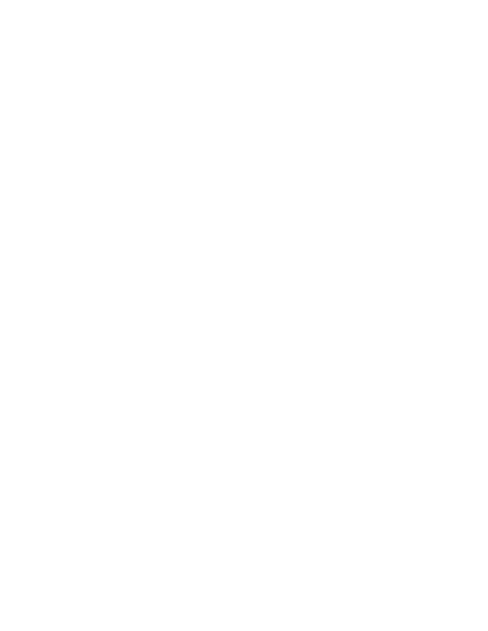The following paragraphs review the rationale and content of the proposed MPS amendments, as well as the associated development agreement.

#### **Proposed MPS Amendments**

Staff considered the existing MPS policy context and considered several policy approaches when drafting the proposed MPS amendments. Attachment A contains the proposed MPS amendments, and a summary of the proposed amendments are as follows:

- Shift the designation boundary such that it follows the property boundary between the subject site and Stoneridge on the Park;
- The RDD designation will be removed from the site, and the LDR and MDR designations will be extended to their respective portions of the subject site;
- The LDR designation on the area of the subject site that fronts on Brewer Court will remain in place as the applicant's proposal is a semi-detached dwelling unit on that portion of the site and is enabled by the LDR designation; and
- The MDR designation applied to the northeast portion of the site will enable the townhouse style development being proposed.

Of the matters addressed by the proposed MPS amendments, the following has been identified for detailed discussion.

#### **Procedural Approach**

Historically, MPS designation boundary corrections or realignments have been carried out as amendments to the MPS. At the time the Mainland South Generalize Future Land Use Map (GFLUM) was established in this area it was recognized as "general" or conceptual and boundary alterations were not sought to adjust these boundaries as development proceeded and new property lines were established. However, due to increased accuracy and other advancements in digital mapping, it is no longer good planning practice to allow these inconsistencies to remain. Staff recommend these alterations be completed as part of the development process whenever opportunities arise.

#### **Proposal Rationale**

Staff provide the following rationale in support of the proposed amendments:

- Policy 1.3.4 under Section X of the Mainland South SMPS, Residential Environments, enables townhouses in the MDR designation. This policy fits with the applicant's proposal but the site must provide adequate physical area to accommodate the proposal by shifting the boundary;
- Following the realignment of the designation boundary, the subject site may then be developed as an integral part of the urban fabric rather than a space that is neither a public open space or a visual amenity;
- The townhouse form permitted by Policy 1.3.4 is an appropriate transition between the existing apartment building to the east and the semi-detached dwellings on Herbert Road and Walter Havill Drive to the west;
- Policies IM 7 (ii) and IM 8 of the Mainland South SMPS speak to plan amendment requirements and enable the designation boundary adjustment to be considered; and
- Without a legal amending the designation boundary the development agreement request may not proceed.

#### **Proposed Development Agreement**

Attachment B contains the proposed development agreement for the subject site and the conditions under which the development may occur. The proposed development agreement addresses the following matters:

- Permitted uses are a 6-unit townhouse and semi-detached dwelling;
- A landscape plan is required;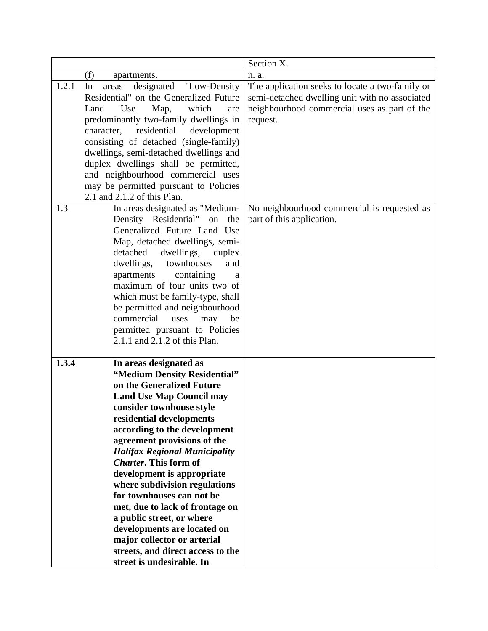- The combined private driveway and service easement meets HRM requirements;
- Fencing is to be provided to screen 29 Brewer Court from the proposed private driveway;
- Architectural requirements are included;
- Changes to the parking and landscaping measures and building materials are identified as nonsubstantive amendments; and
- Changes to the time of commencement and time of completion are identified as non-substantive amendments.

The attached development agreement will permit a 6-unit townhouse, a semi-detached dwelling unit, a private driveway and associated parking subject to the controls identified above. Of the matters addressed by the proposed development agreement to satisfy the proposed MPS criteria as shown in Attachment A, the following have been identified for detailed discussion.

#### **Traffic**

A Traffic Impact Statement submitted in support of this application shows that trip generation rates from peak morning and evening hours for this proposal will be low and not materially impact traffic on the adjacent road network. This TIS has been accepted by HRM Traffic Services.

#### Townhouse Dwellings Permitted

Policy 1.3.4 in Section X of the Mainland South SPS permits townhouse dwelling types in the Medium Density Residential environment. This policy provides for diversity in the housing mix and addresses the dichotomy between these housing forms.

#### **Conclusion**

Staff have reviewed the application and the existing policy context and advise that the MPS should be amended to align the designation boundaries with the property boundaries to enable the proposed development agreement. The townhouse form is suitable in terms of height, materials and scale within the immediate mix of single detached, semi-detached and apartment housing forms. As an infill proposal the townhouses provide an alternative form of housing and effective use of existing municipal service capacity. Council should note that subdivision regulations for townhouses can not be met due to insufficient frontage on a public street. Therefore, there is no capacity for further subdivision of the townhouse property.

Staff recommend that the Halifax and West Community Council recommend that Regional Council approve the proposed MPS amendments.

#### **FINANCIAL IMPLICATIONS**

There are no financial implications. The applicant will be responsible for all costs, expenses, liabilities and obligations imposed under or incurred in order to satisfy the terms of this Development Agreement. The administration of the development agreement can be carried out within the approved 2018/2019 budget with existing resources.

#### **RISK CONSIDERATION**

There are no significant risks associated with the recommendations contained within this report. This application involves proposed MPS amendments. Such amendments are at the discretion of Regional Council and are not subject to appeal to the Nova Scotia Utility and Review Board. Information concerning risks and other implications of adopting the proposed amendments are contained within the Discussion section of this report.